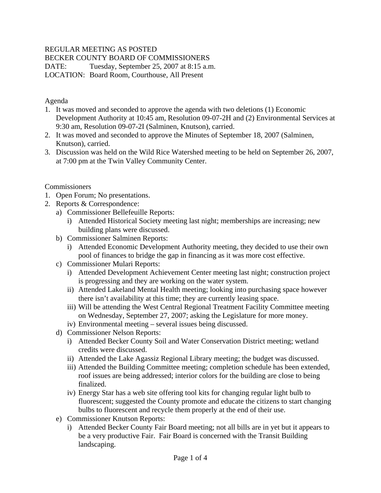## REGULAR MEETING AS POSTED

BECKER COUNTY BOARD OF COMMISSIONERS

DATE: Tuesday, September 25, 2007 at 8:15 a.m.

LOCATION: Board Room, Courthouse, All Present

## Agenda

- 1. It was moved and seconded to approve the agenda with two deletions (1) Economic Development Authority at 10:45 am, Resolution 09-07-2H and (2) Environmental Services at 9:30 am, Resolution 09-07-2I (Salminen, Knutson), carried.
- 2. It was moved and seconded to approve the Minutes of September 18, 2007 (Salminen, Knutson), carried.
- 3. Discussion was held on the Wild Rice Watershed meeting to be held on September 26, 2007, at 7:00 pm at the Twin Valley Community Center.

### Commissioners

- 1. Open Forum; No presentations.
- 2. Reports & Correspondence:
	- a) Commissioner Bellefeuille Reports:
		- i) Attended Historical Society meeting last night; memberships are increasing; new building plans were discussed.
	- b) Commissioner Salminen Reports:
		- i) Attended Economic Development Authority meeting, they decided to use their own pool of finances to bridge the gap in financing as it was more cost effective.
	- c) Commissioner Mulari Reports:
		- i) Attended Development Achievement Center meeting last night; construction project is progressing and they are working on the water system.
		- ii) Attended Lakeland Mental Health meeting; looking into purchasing space however there isn't availability at this time; they are currently leasing space.
		- iii) Will be attending the West Central Regional Treatment Facility Committee meeting on Wednesday, September 27, 2007; asking the Legislature for more money.
		- iv) Environmental meeting several issues being discussed.
	- d) Commissioner Nelson Reports:
		- i) Attended Becker County Soil and Water Conservation District meeting; wetland credits were discussed.
		- ii) Attended the Lake Agassiz Regional Library meeting; the budget was discussed.
		- iii) Attended the Building Committee meeting; completion schedule has been extended, roof issues are being addressed; interior colors for the building are close to being finalized.
		- iv) Energy Star has a web site offering tool kits for changing regular light bulb to fluorescent; suggested the County promote and educate the citizens to start changing bulbs to fluorescent and recycle them properly at the end of their use.
	- e) Commissioner Knutson Reports:
		- i) Attended Becker County Fair Board meeting; not all bills are in yet but it appears to be a very productive Fair. Fair Board is concerned with the Transit Building landscaping.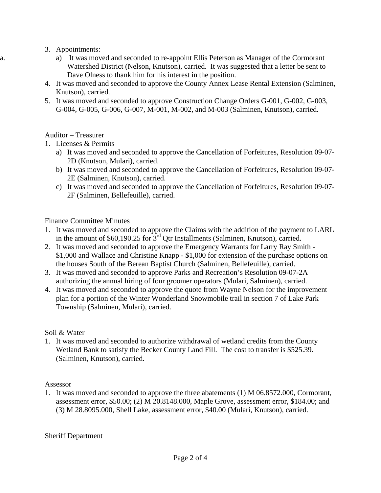- 3. Appointments:
- a. a) It was moved and seconded to re-appoint Ellis Peterson as Manager of the Cormorant Watershed District (Nelson, Knutson), carried. It was suggested that a letter be sent to Dave Olness to thank him for his interest in the position.
	- 4. It was moved and seconded to approve the County Annex Lease Rental Extension (Salminen, Knutson), carried.
	- 5. It was moved and seconded to approve Construction Change Orders G-001, G-002, G-003, G-004, G-005, G-006, G-007, M-001, M-002, and M-003 (Salminen, Knutson), carried.

## Auditor – Treasurer

1. Licenses & Permits

- a) It was moved and seconded to approve the Cancellation of Forfeitures, Resolution 09-07- 2D (Knutson, Mulari), carried.
- b) It was moved and seconded to approve the Cancellation of Forfeitures, Resolution 09-07- 2E (Salminen, Knutson), carried.
- c) It was moved and seconded to approve the Cancellation of Forfeitures, Resolution 09-07- 2F (Salminen, Bellefeuille), carried.

### Finance Committee Minutes

- 1. It was moved and seconded to approve the Claims with the addition of the payment to LARL in the amount of \$60,190.25 for  $3<sup>rd</sup>$  Qtr Installments (Salminen, Knutson), carried.
- 2. It was moved and seconded to approve the Emergency Warrants for Larry Ray Smith \$1,000 and Wallace and Christine Knapp - \$1,000 for extension of the purchase options on the houses South of the Berean Baptist Church (Salminen, Bellefeuille), carried.
- 3. It was moved and seconded to approve Parks and Recreation's Resolution 09-07-2A authorizing the annual hiring of four groomer operators (Mulari, Salminen), carried.
- 4. It was moved and seconded to approve the quote from Wayne Nelson for the improvement plan for a portion of the Winter Wonderland Snowmobile trail in section 7 of Lake Park Township (Salminen, Mulari), carried.

#### Soil & Water

1. It was moved and seconded to authorize withdrawal of wetland credits from the County Wetland Bank to satisfy the Becker County Land Fill. The cost to transfer is \$525.39. (Salminen, Knutson), carried.

#### Assessor

1. It was moved and seconded to approve the three abatements (1) M 06.8572.000, Cormorant, assessment error, \$50.00; (2) M 20.8148.000, Maple Grove, assessment error, \$184.00; and (3) M 28.8095.000, Shell Lake, assessment error, \$40.00 (Mulari, Knutson), carried.

#### Sheriff Department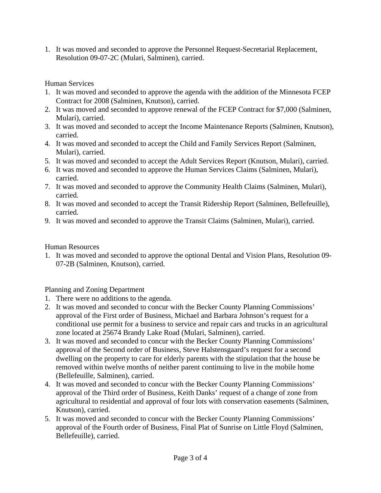1. It was moved and seconded to approve the Personnel Request-Secretarial Replacement, Resolution 09-07-2C (Mulari, Salminen), carried.

Human Services

- 1. It was moved and seconded to approve the agenda with the addition of the Minnesota FCEP Contract for 2008 (Salminen, Knutson), carried.
- 2. It was moved and seconded to approve renewal of the FCEP Contract for \$7,000 (Salminen, Mulari), carried.
- 3. It was moved and seconded to accept the Income Maintenance Reports (Salminen, Knutson), carried.
- 4. It was moved and seconded to accept the Child and Family Services Report (Salminen, Mulari), carried.
- 5. It was moved and seconded to accept the Adult Services Report (Knutson, Mulari), carried.
- 6. It was moved and seconded to approve the Human Services Claims (Salminen, Mulari), carried.
- 7. It was moved and seconded to approve the Community Health Claims (Salminen, Mulari), carried.
- 8. It was moved and seconded to accept the Transit Ridership Report (Salminen, Bellefeuille), carried.
- 9. It was moved and seconded to approve the Transit Claims (Salminen, Mulari), carried.

## Human Resources

1. It was moved and seconded to approve the optional Dental and Vision Plans, Resolution 09- 07-2B (Salminen, Knutson), carried.

# Planning and Zoning Department

- 1. There were no additions to the agenda.
- 2. It was moved and seconded to concur with the Becker County Planning Commissions' approval of the First order of Business, Michael and Barbara Johnson's request for a conditional use permit for a business to service and repair cars and trucks in an agricultural zone located at 25674 Brandy Lake Road (Mulari, Salminen), carried.
- 3. It was moved and seconded to concur with the Becker County Planning Commissions' approval of the Second order of Business, Steve Halstensgaard's request for a second dwelling on the property to care for elderly parents with the stipulation that the house be removed within twelve months of neither parent continuing to live in the mobile home (Bellefeuille, Salminen), carried.
- 4. It was moved and seconded to concur with the Becker County Planning Commissions' approval of the Third order of Business, Keith Danks' request of a change of zone from agricultural to residential and approval of four lots with conservation easements (Salminen, Knutson), carried.
- 5. It was moved and seconded to concur with the Becker County Planning Commissions' approval of the Fourth order of Business, Final Plat of Sunrise on Little Floyd (Salminen, Bellefeuille), carried.